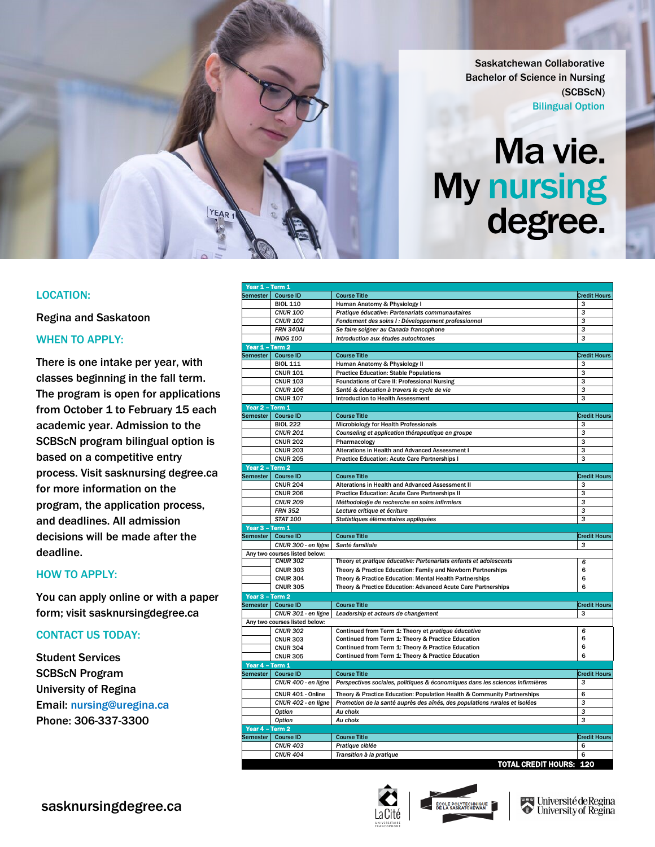Saskatchewan Collaborative Bachelor of Science in Nursing (SCBScN) Bilingual Option

# Ma vie. My nursing degree.

# LOCATION:

Regina and Saskatoon

# WHEN TO APPLY:

There is one intake per year, with classes beginning in the fall term. The program is open for applications from October 1 to February 15 each academic year. Admission to the SCBScN program bilingual option is based on a competitive entry process. Visit sasknursing degree.ca for more information on the program, the application process, and deadlines. All admission decisions will be made after the deadline.

YEAR

# HOW TO APPLY:

You can apply online or with a paper form; visit sasknursingdegree.ca

# CONTACT US TODAY:

Student Services SCBScN Program University of Regina Email: nursing@uregina.ca Phone: 306-337-3300

|                 | Year 1 - Term 1               |                                                                               |                     |
|-----------------|-------------------------------|-------------------------------------------------------------------------------|---------------------|
| Semester        | <b>Course ID</b>              | <b>Course Title</b>                                                           | <b>Credit Hours</b> |
|                 | <b>BIOL 110</b>               | Human Anatomy & Physiology I                                                  | з                   |
|                 | <b>CNUR 100</b>               | Pratique éducative: Partenariats communautaires                               | 3                   |
|                 | <b>CNUR 102</b>               | Fondement des soins I : Développement professionnel                           | 3                   |
|                 | <b>FRN 340AI</b>              | Se faire soigner au Canada francophone                                        | 3                   |
|                 | <b>INDG 100</b>               | Introduction aux études autochtones                                           | 3                   |
| Year 1 - Term 2 |                               |                                                                               |                     |
| Semester I      | <b>Course ID</b>              | <b>Course Title</b>                                                           | <b>Credit Hours</b> |
|                 | <b>BIOL 111</b>               | Human Anatomy & Physiology II                                                 | 3                   |
|                 | <b>CNUR 101</b>               | <b>Practice Education: Stable Populations</b>                                 | 3                   |
|                 | <b>CNUR 103</b>               | <b>Foundations of Care II: Professional Nursing</b>                           | 3                   |
|                 | <b>CNUR 106</b>               | Santé & éducation à travers le cycle de vie                                   | 3                   |
|                 | <b>CNUR 107</b>               | <b>Introduction to Health Assessment</b>                                      | 3                   |
| Year 2 - Term 1 |                               |                                                                               |                     |
| Semester        | <b>Course ID</b>              | <b>Course Title</b>                                                           | <b>Credit Hours</b> |
|                 | <b>BIOL 222</b>               | Microbiology for Health Professionals                                         | з                   |
|                 | <b>CNUR 201</b>               | Counseling et application thérapeutique en groupe                             | 3                   |
|                 | <b>CNUR 202</b>               | Pharmacology                                                                  | 3                   |
|                 | <b>CNUR 203</b>               | Alterations in Health and Advanced Assessment I                               | 3                   |
|                 | <b>CNUR 205</b>               | <b>Practice Education: Acute Care Partnerships I</b>                          | 3                   |
| Year 2 - Term 2 |                               |                                                                               |                     |
|                 | Semester Course ID            | <b>Course Title</b>                                                           | <b>Credit Hours</b> |
|                 | <b>CNUR 204</b>               | Alterations in Health and Advanced Assessment II                              | 3                   |
|                 | <b>CNUR 206</b>               | <b>Practice Education: Acute Care Partnerships II</b>                         | 3                   |
|                 | <b>CNUR 209</b>               | Méthodologie de recherche en soins infirmiers                                 | 3                   |
|                 | <b>FRN 352</b>                | Lecture critique et écriture                                                  | 3                   |
|                 | <b>STAT 100</b>               | Statistiques élémentaires appliquées                                          | 3                   |
| Year 3 - Term 1 |                               |                                                                               |                     |
|                 | Semester   Course ID          | <b>Course Title</b>                                                           | <b>Credit Hours</b> |
|                 | CNUR 300 - en ligne           | Santé familiale                                                               | з                   |
|                 | Any two courses listed below: |                                                                               |                     |
|                 | <b>CNUR 302</b>               | Theory et pratique éducative: Partenariats enfants et adolescents             | 6                   |
|                 | <b>CNUR 303</b>               | Theory & Practice Education: Family and Newborn Partnerships                  | 6                   |
|                 | <b>CNUR 304</b>               | Theory & Practice Education: Mental Health Partnerships                       | 6                   |
|                 | <b>CNUR 305</b>               | Theory & Practice Education: Advanced Acute Care Partnerships                 | 6                   |
| Year 3 - Term 2 |                               |                                                                               |                     |
|                 | Semester   Course ID          | <b>Course Title</b>                                                           | <b>Credit Hours</b> |
|                 | CNUR 301 - en ligne           | Leadership et acteurs de changement                                           | 3                   |
|                 | Any two courses listed below: |                                                                               |                     |
|                 | <b>CNUR 302</b>               | Continued from Term 1: Theory et pratique éducative                           | 6                   |
|                 | <b>CNUR 303</b>               | Continued from Term 1: Theory & Practice Education                            | 6                   |
|                 | <b>CNUR 304</b>               | Continued from Term 1: Theory & Practice Education                            | 6                   |
|                 | <b>CNUR 305</b>               | Continued from Term 1: Theory & Practice Education                            | 6                   |
| Year 4 - Term 1 |                               |                                                                               |                     |
| Semester        | <b>Course ID</b>              | <b>Course Title</b>                                                           | <b>Credit Hours</b> |
|                 | CNUR 400 - en ligne           | Perspectives sociales, politiques & économiques dans les sciences infirmières | 3                   |
|                 | CNUR 401 - Online             | Theory & Practice Education: Population Health & Community Partnerships       | 6                   |
|                 | CNUR 402 - en ligne           | Promotion de la santé auprès des aînés, des populations rurales et isolées    | 3                   |
|                 | <b>Option</b>                 | Au choix                                                                      | 3                   |
|                 | Option                        | Au choix                                                                      | 3                   |
| Year 4 - Term 2 |                               |                                                                               |                     |
| Semester        | <b>Course ID</b>              | <b>Course Title</b>                                                           | <b>Credit Hours</b> |
|                 |                               |                                                                               |                     |
|                 | <b>CNUR 403</b>               | Pratique ciblée                                                               | 6                   |